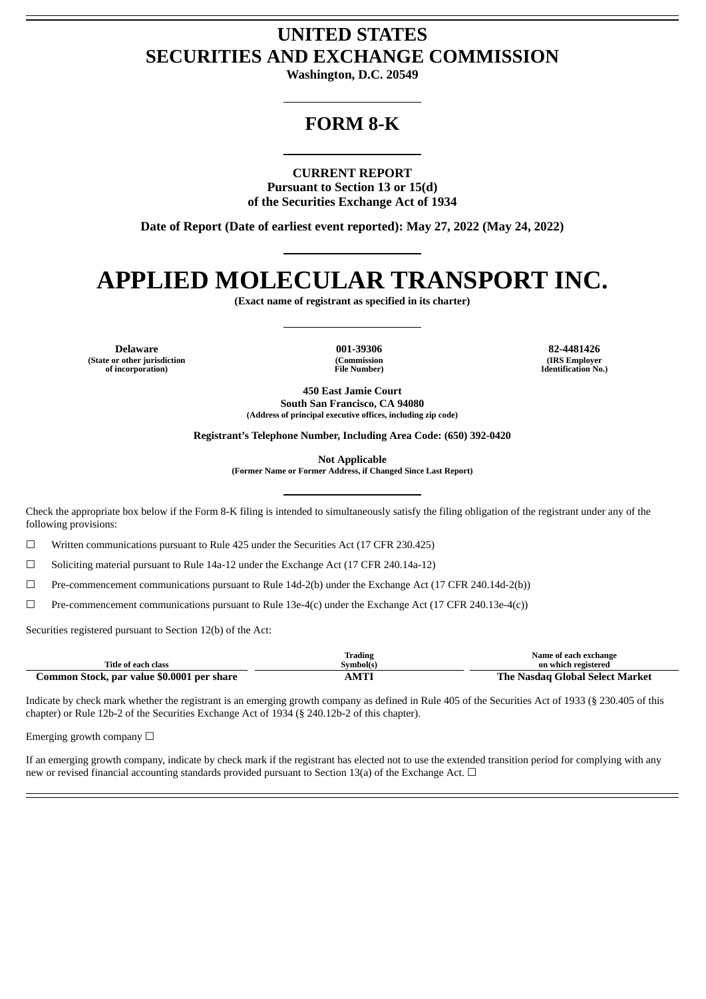# **UNITED STATES SECURITIES AND EXCHANGE COMMISSION**

**Washington, D.C. 20549**

# **FORM 8-K**

**CURRENT REPORT**

**Pursuant to Section 13 or 15(d) of the Securities Exchange Act of 1934**

**Date of Report (Date of earliest event reported): May 27, 2022 (May 24, 2022)**

# **APPLIED MOLECULAR TRANSPORT INC.**

**(Exact name of registrant as specified in its charter)**

**Delaware 001-39306 82-4481426 (State or other jurisdiction of incorporation)**

**(Commission File Number)**

**(IRS Employer Identification No.)**

**450 East Jamie Court South San Francisco, CA 94080 (Address of principal executive offices, including zip code)**

**Registrant's Telephone Number, Including Area Code: (650) 392-0420**

**Not Applicable**

**(Former Name or Former Address, if Changed Since Last Report)**

Check the appropriate box below if the Form 8-K filing is intended to simultaneously satisfy the filing obligation of the registrant under any of the following provisions:

☐ Written communications pursuant to Rule 425 under the Securities Act (17 CFR 230.425)

☐ Soliciting material pursuant to Rule 14a-12 under the Exchange Act (17 CFR 240.14a-12)

☐ Pre-commencement communications pursuant to Rule 14d-2(b) under the Exchange Act (17 CFR 240.14d-2(b))

☐ Pre-commencement communications pursuant to Rule 13e-4(c) under the Exchange Act (17 CFR 240.13e-4(c))

Securities registered pursuant to Section 12(b) of the Act:

|                                            | Trading   | Name of each exchange                  |
|--------------------------------------------|-----------|----------------------------------------|
| Title of each class                        | Symbol(s) | on which registered                    |
| Common Stock, par value \$0.0001 per share | AMTI      | <b>The Nasdag Global Select Market</b> |

Indicate by check mark whether the registrant is an emerging growth company as defined in Rule 405 of the Securities Act of 1933 (§ 230.405 of this chapter) or Rule 12b-2 of the Securities Exchange Act of 1934 (§ 240.12b-2 of this chapter).

Emerging growth company  $\Box$ 

If an emerging growth company, indicate by check mark if the registrant has elected not to use the extended transition period for complying with any new or revised financial accounting standards provided pursuant to Section 13(a) of the Exchange Act. □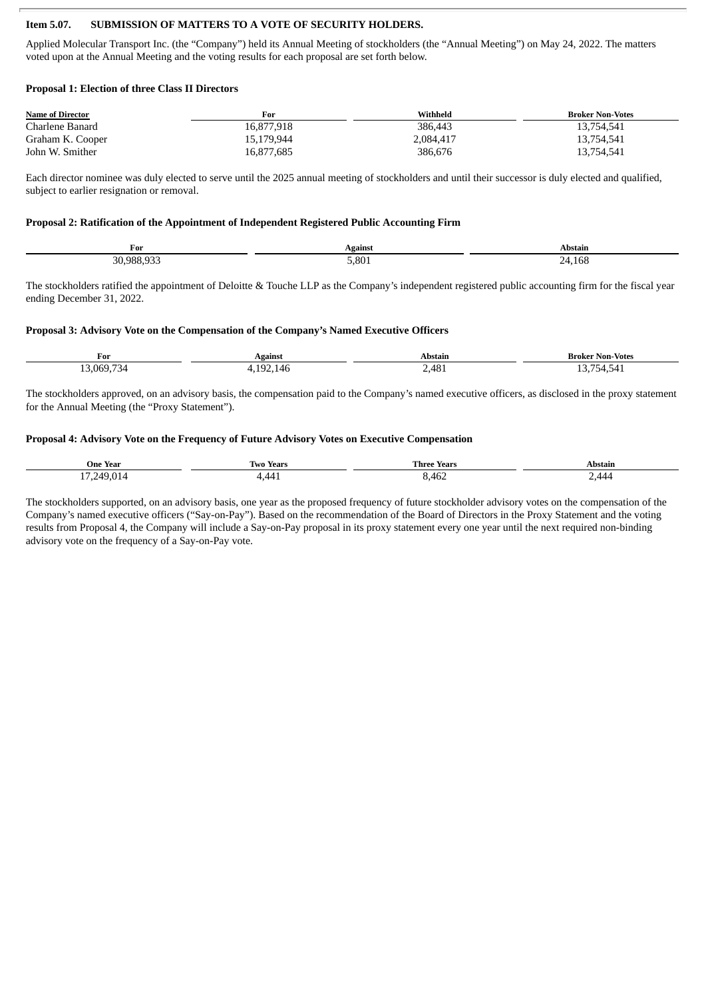### **Item 5.07. SUBMISSION OF MATTERS TO A VOTE OF SECURITY HOLDERS.**

Applied Molecular Transport Inc. (the "Company") held its Annual Meeting of stockholders (the "Annual Meeting") on May 24, 2022. The matters voted upon at the Annual Meeting and the voting results for each proposal are set forth below.

#### **Proposal 1: Election of three Class II Directors**

| <b>Name of Director</b> | For        | Withheld  | <b>Broker Non-Votes</b> |
|-------------------------|------------|-----------|-------------------------|
| Charlene Banard         | 16,877,918 | 386.443   | 13,754,541              |
| Graham K. Cooper        | 15,179,944 | 2,084,417 | 13,754,541              |
| John W. Smither         | 16,877,685 | 386,676   | 13,754,541              |

Each director nominee was duly elected to serve until the 2025 annual meeting of stockholders and until their successor is duly elected and qualified, subject to earlier resignation or removal.

#### **Proposal 2: Ratification of the Appointment of Independent Registered Public Accounting Firm**

| For        | Against      | Abstain          |
|------------|--------------|------------------|
| 30 988 933 | 5.801<br>--- | 24. Ibr<br>. – – |

The stockholders ratified the appointment of Deloitte & Touche LLP as the Company's independent registered public accounting firm for the fiscal year ending December 31, 2022.

#### **Proposal 3: Advisory Vote on the Compensation of the Company's Named Executive Officers**

| For                              | Against                                    | Abstain         | <b>Broker Non-Votes</b>             |
|----------------------------------|--------------------------------------------|-----------------|-------------------------------------|
| 13,069,73<br>″⊰4<br>$\sim$<br>__ | 10 <sup>o</sup><br>-<br>92.146<br>. .<br>. | 2,481<br>$\sim$ | $- -$<br>ב34,54 ב'<br><b></b><br>__ |

The stockholders approved, on an advisory basis, the compensation paid to the Company's named executive officers, as disclosed in the proxy statement for the Annual Meeting (the "Proxy Statement").

#### **Proposal 4: Advisory Vote on the Frequency of Future Advisory Votes on Executive Compensation**

| One Year                 | <b>Two Years</b> | Three<br>Years | Abstain |
|--------------------------|------------------|----------------|---------|
| $-7.249.014$<br><b>.</b> | . 44<br>-, - - - | 8,46∠          | 2.444   |

The stockholders supported, on an advisory basis, one year as the proposed frequency of future stockholder advisory votes on the compensation of the Company's named executive officers ("Say-on-Pay"). Based on the recommendation of the Board of Directors in the Proxy Statement and the voting results from Proposal 4, the Company will include a Say-on-Pay proposal in its proxy statement every one year until the next required non-binding advisory vote on the frequency of a Say-on-Pay vote.